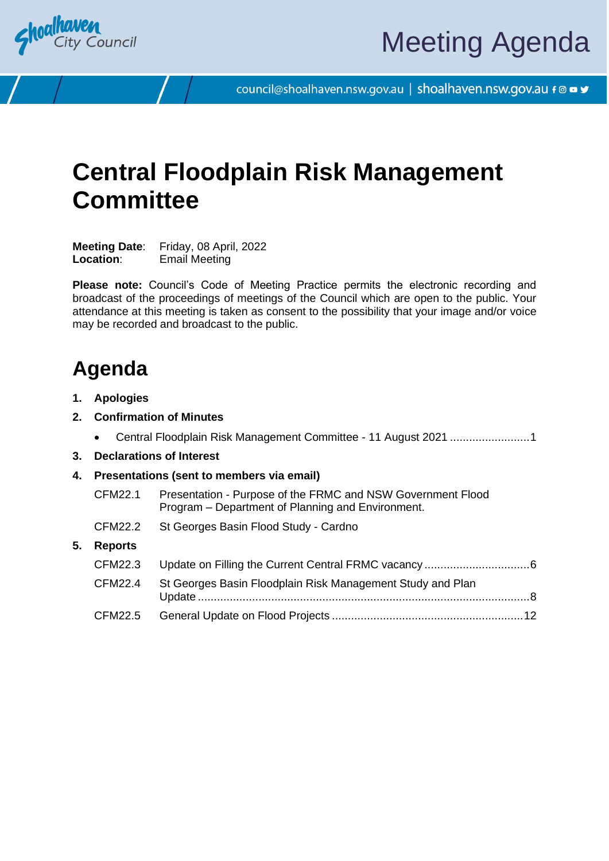

council@shoalhaven.nsw.gov.au | shoalhaven.nsw.gov.au f @ ■ y

## **Central Floodplain Risk Management Committee**

**Meeting Date**: Friday, 08 April, 2022 **Location**: Email Meeting

**Please note:** Council's Code of Meeting Practice permits the electronic recording and broadcast of the proceedings of meetings of the Council which are open to the public. Your attendance at this meeting is taken as consent to the possibility that your image and/or voice may be recorded and broadcast to the public.

## **Agenda**

- **1. Apologies**
- **2. Confirmation of Minutes**
	- Central Floodplain Risk Management Committee 11 August 2021 ........................[.1](#page-2-0)
- **3. Declarations of Interest**
- **4. Presentations (sent to members via email)**
	- CFM22.1 Presentation Purpose of the FRMC and NSW Government Flood Program – Department of Planning and Environment.
	- CFM22.2 St Georges Basin Flood Study Cardno

## **5. Reports**

| CFM22.4 St Georges Basin Floodplain Risk Management Study and Plan |  |
|--------------------------------------------------------------------|--|
|                                                                    |  |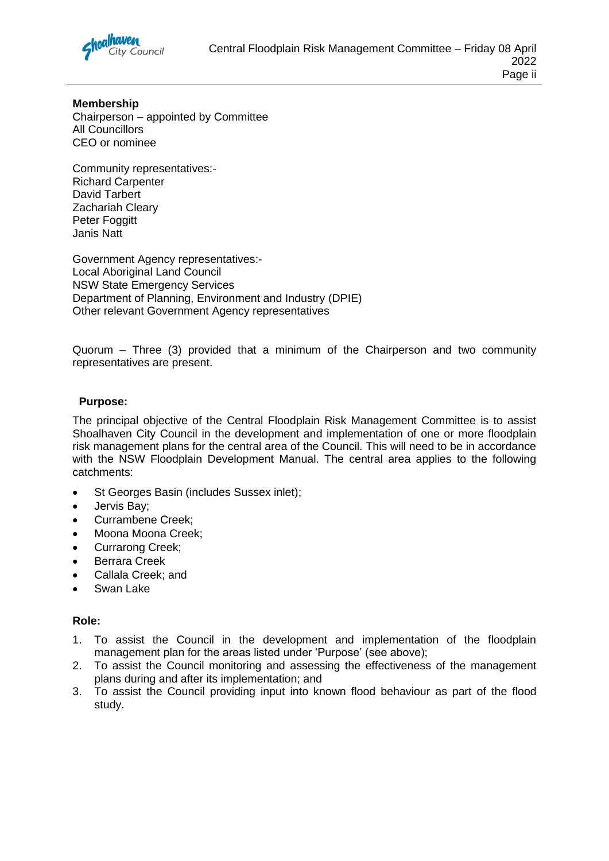

**Membership** Chairperson – appointed by Committee All Councillors CEO or nominee

Community representatives:- Richard Carpenter David Tarbert Zachariah Cleary Peter Foggitt Janis Natt

Government Agency representatives:- Local Aboriginal Land Council NSW State Emergency Services Department of Planning, Environment and Industry (DPIE) Other relevant Government Agency representatives

Quorum – Three (3) provided that a minimum of the Chairperson and two community representatives are present.

## **Purpose:**

The principal objective of the Central Floodplain Risk Management Committee is to assist Shoalhaven City Council in the development and implementation of one or more floodplain risk management plans for the central area of the Council. This will need to be in accordance with the NSW Floodplain Development Manual. The central area applies to the following catchments:

- St Georges Basin (includes Sussex inlet);
- Jervis Bay;
- Currambene Creek;
- Moona Moona Creek;
- Currarong Creek;
- Berrara Creek
- Callala Creek; and
- Swan Lake

#### **Role:**

- 1. To assist the Council in the development and implementation of the floodplain management plan for the areas listed under 'Purpose' (see above);
- 2. To assist the Council monitoring and assessing the effectiveness of the management plans during and after its implementation; and
- 3. To assist the Council providing input into known flood behaviour as part of the flood study.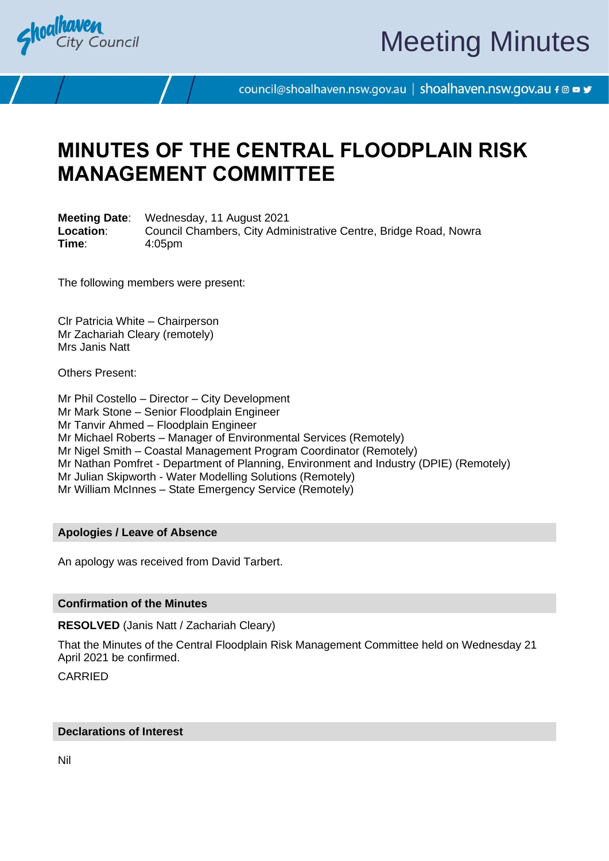<span id="page-2-0"></span>

# Meeting Minutes

council@shoalhaven.nsw.gov.au | shoalhaven.nsw.gov.au f @ ■ y

## **MINUTES OF THE CENTRAL FLOODPLAIN RISK MANAGEMENT COMMITTEE**

**Meeting Date**: Wednesday, 11 August 2021 **Location:** Council Chambers, City Administrative Centre, Bridge Road, Nowra **Time**: 4:05pm

The following members were present:

Clr Patricia White – Chairperson Mr Zachariah Cleary (remotely) Mrs Janis Natt

Others Present:

Mr Phil Costello – Director – City Development Mr Mark Stone – Senior Floodplain Engineer Mr Tanvir Ahmed – Floodplain Engineer Mr Michael Roberts – Manager of Environmental Services (Remotely) Mr Nigel Smith – Coastal Management Program Coordinator (Remotely) Mr Nathan Pomfret - Department of Planning, Environment and Industry (DPIE) (Remotely) Mr Julian Skipworth - Water Modelling Solutions (Remotely) Mr William McInnes – State Emergency Service (Remotely)

## **Apologies / Leave of Absence**

An apology was received from David Tarbert.

#### **Confirmation of the Minutes**

**RESOLVED** (Janis Natt / Zachariah Cleary)

That the Minutes of the Central Floodplain Risk Management Committee held on Wednesday 21 April 2021 be confirmed.

CARRIED

#### **Declarations of Interest**

Nil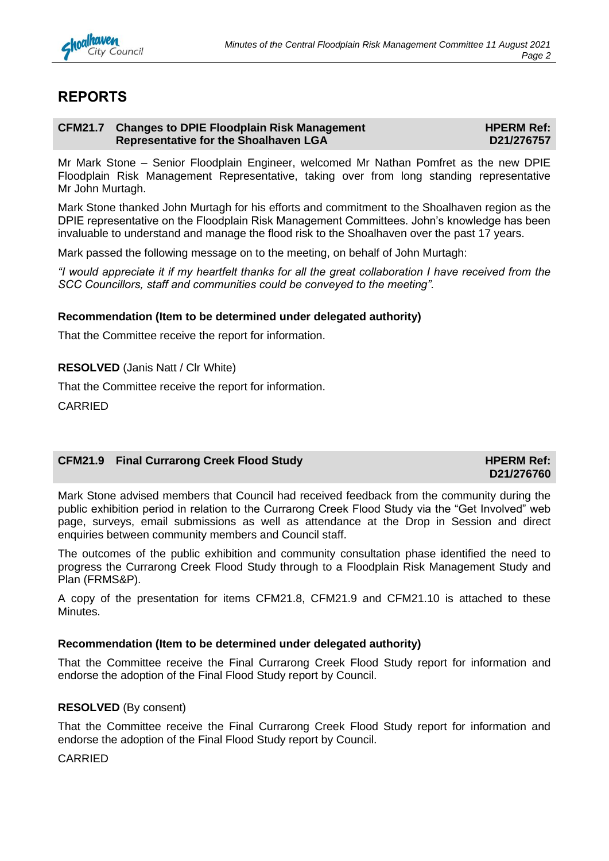

## **REPORTS**

#### **CFM21.7 Changes to DPIE Floodplain Risk Management Representative for the Shoalhaven LGA**

**HPERM Ref: D21/276757**

Mr Mark Stone – Senior Floodplain Engineer, welcomed Mr Nathan Pomfret as the new DPIE Floodplain Risk Management Representative, taking over from long standing representative Mr John Murtagh.

Mark Stone thanked John Murtagh for his efforts and commitment to the Shoalhaven region as the DPIE representative on the Floodplain Risk Management Committees. John's knowledge has been invaluable to understand and manage the flood risk to the Shoalhaven over the past 17 years.

Mark passed the following message on to the meeting, on behalf of John Murtagh:

*"I would appreciate it if my heartfelt thanks for all the great collaboration I have received from the SCC Councillors, staff and communities could be conveyed to the meeting".*

## **Recommendation (Item to be determined under delegated authority)**

That the Committee receive the report for information.

**RESOLVED** (Janis Natt / Clr White)

That the Committee receive the report for information.

CARRIED

## **CFM21.9 Final Currarong Creek Flood Study <b>HPERM Ref: HPERM Ref:**

**D21/276760**

Mark Stone advised members that Council had received feedback from the community during the public exhibition period in relation to the Currarong Creek Flood Study via the "Get Involved" web page, surveys, email submissions as well as attendance at the Drop in Session and direct enquiries between community members and Council staff.

The outcomes of the public exhibition and community consultation phase identified the need to progress the Currarong Creek Flood Study through to a Floodplain Risk Management Study and Plan (FRMS&P).

A copy of the presentation for items CFM21.8, CFM21.9 and CFM21.10 is attached to these Minutes.

## **Recommendation (Item to be determined under delegated authority)**

That the Committee receive the Final Currarong Creek Flood Study report for information and endorse the adoption of the Final Flood Study report by Council.

## **RESOLVED** (By consent)

That the Committee receive the Final Currarong Creek Flood Study report for information and endorse the adoption of the Final Flood Study report by Council.

CARRIED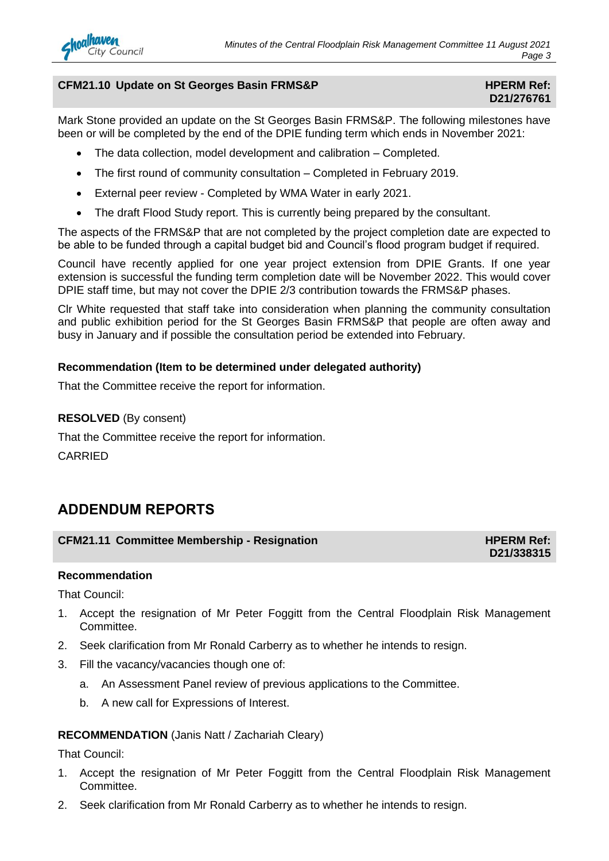## **CFM21.10** Update on St Georges Basin FRMS&P **HPERM Ref: HPERM Ref:**

## **D21/276761**

Mark Stone provided an update on the St Georges Basin FRMS&P. The following milestones have been or will be completed by the end of the DPIE funding term which ends in November 2021:

- The data collection, model development and calibration Completed.
- The first round of community consultation Completed in February 2019.
- External peer review Completed by WMA Water in early 2021.
- The draft Flood Study report. This is currently being prepared by the consultant.

The aspects of the FRMS&P that are not completed by the project completion date are expected to be able to be funded through a capital budget bid and Council's flood program budget if required.

Council have recently applied for one year project extension from DPIE Grants. If one year extension is successful the funding term completion date will be November 2022. This would cover DPIE staff time, but may not cover the DPIE 2/3 contribution towards the FRMS&P phases.

Clr White requested that staff take into consideration when planning the community consultation and public exhibition period for the St Georges Basin FRMS&P that people are often away and busy in January and if possible the consultation period be extended into February.

## **Recommendation (Item to be determined under delegated authority)**

That the Committee receive the report for information.

## **RESOLVED** (By consent)

That the Committee receive the report for information.

CARRIED

## **ADDENDUM REPORTS**

## **CFM21.11 Committee Membership - Resignation HPERM Ref: HPERM Ref:**

## **D21/338315**

## **Recommendation**

That Council:

- 1. Accept the resignation of Mr Peter Foggitt from the Central Floodplain Risk Management Committee.
- 2. Seek clarification from Mr Ronald Carberry as to whether he intends to resign.
- 3. Fill the vacancy/vacancies though one of:
	- a. An Assessment Panel review of previous applications to the Committee.
	- b. A new call for Expressions of Interest.

## **RECOMMENDATION** (Janis Natt / Zachariah Cleary)

That Council:

- 1. Accept the resignation of Mr Peter Foggitt from the Central Floodplain Risk Management Committee.
- 2. Seek clarification from Mr Ronald Carberry as to whether he intends to resign.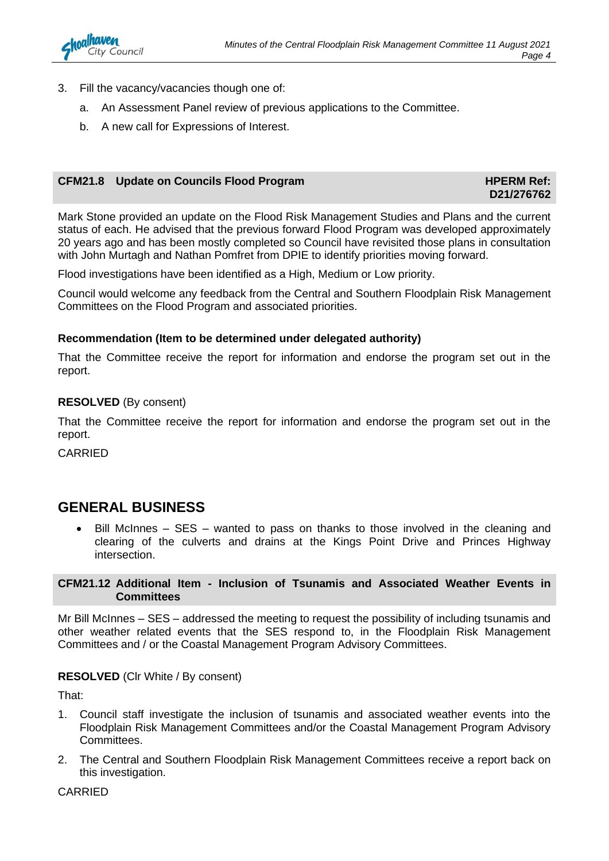- 3. Fill the vacancy/vacancies though one of:
	- a. An Assessment Panel review of previous applications to the Committee.
	- b. A new call for Expressions of Interest.

## **CFM21.8** Update on Councils Flood Program **HPERM Ref: HPERM Ref:**

**D21/276762**

Mark Stone provided an update on the Flood Risk Management Studies and Plans and the current status of each. He advised that the previous forward Flood Program was developed approximately 20 years ago and has been mostly completed so Council have revisited those plans in consultation with John Murtagh and Nathan Pomfret from DPIE to identify priorities moving forward.

Flood investigations have been identified as a High, Medium or Low priority.

Council would welcome any feedback from the Central and Southern Floodplain Risk Management Committees on the Flood Program and associated priorities.

## **Recommendation (Item to be determined under delegated authority)**

That the Committee receive the report for information and endorse the program set out in the report.

## **RESOLVED** (By consent)

That the Committee receive the report for information and endorse the program set out in the report.

CARRIED

## **GENERAL BUSINESS**

• Bill McInnes – SES – wanted to pass on thanks to those involved in the cleaning and clearing of the culverts and drains at the Kings Point Drive and Princes Highway intersection.

## **CFM21.12 Additional Item - Inclusion of Tsunamis and Associated Weather Events in Committees**

Mr Bill McInnes – SES – addressed the meeting to request the possibility of including tsunamis and other weather related events that the SES respond to, in the Floodplain Risk Management Committees and / or the Coastal Management Program Advisory Committees.

## **RESOLVED** (Clr White / By consent)

That:

- 1. Council staff investigate the inclusion of tsunamis and associated weather events into the Floodplain Risk Management Committees and/or the Coastal Management Program Advisory Committees.
- 2. The Central and Southern Floodplain Risk Management Committees receive a report back on this investigation.

CARRIED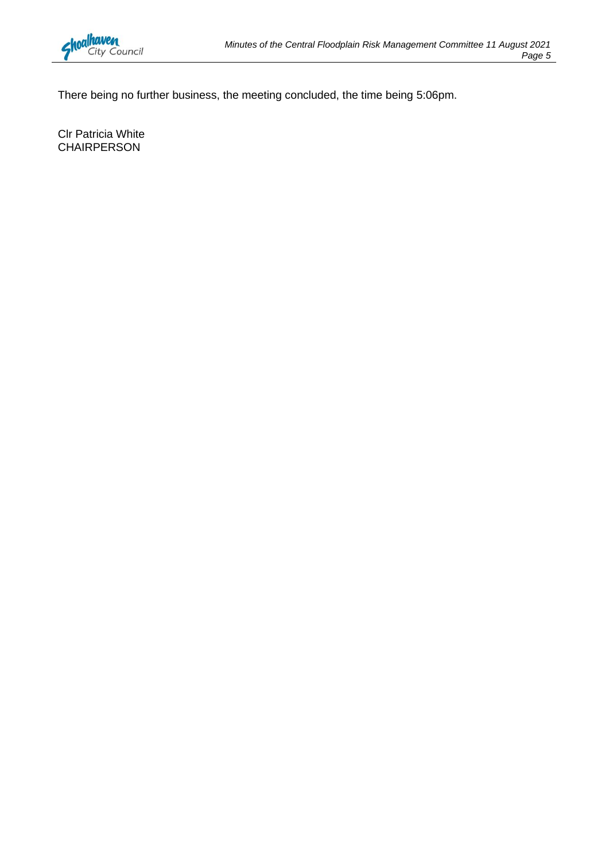

There being no further business, the meeting concluded, the time being 5:06pm.

Clr Patricia White CHAIRPERSON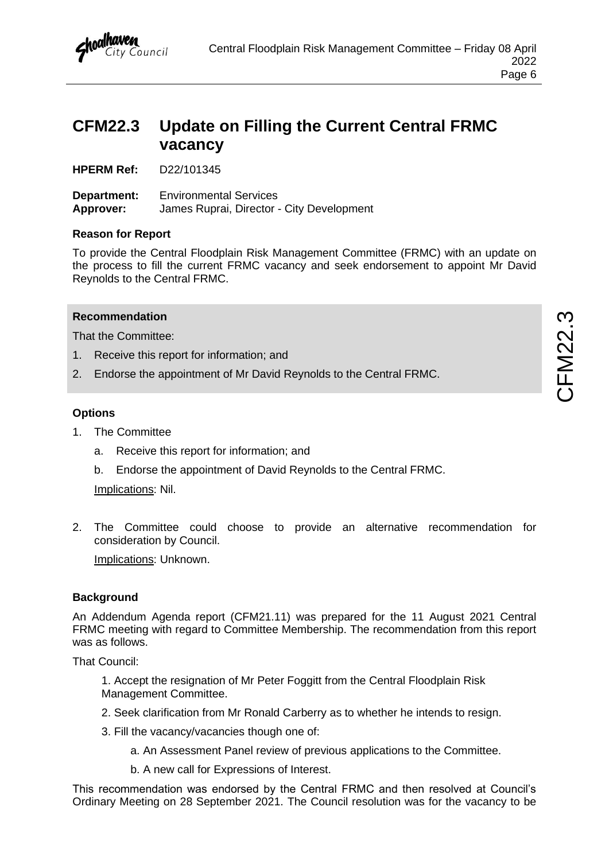

## <span id="page-7-0"></span>**CFM22.3 Update on Filling the Current Central FRMC vacancy**

**HPERM Ref:** D22/101345

**Department:** Environmental Services **Approver:** James Ruprai, Director - City Development

## **Reason for Report**

To provide the Central Floodplain Risk Management Committee (FRMC) with an update on the process to fill the current FRMC vacancy and seek endorsement to appoint Mr David Reynolds to the Central FRMC.

## **Recommendation**

That the Committee:

- 1. Receive this report for information; and
- 2. Endorse the appointment of Mr David Reynolds to the Central FRMC.

## **Options**

- 1. The Committee
	- a. Receive this report for information; and
	- b. Endorse the appointment of David Reynolds to the Central FRMC.

Implications: Nil.

2. The Committee could choose to provide an alternative recommendation for consideration by Council.

Implications: Unknown.

## **Background**

An Addendum Agenda report (CFM21.11) was prepared for the 11 August 2021 Central FRMC meeting with regard to Committee Membership. The recommendation from this report was as follows.

That Council:

1. Accept the resignation of Mr Peter Foggitt from the Central Floodplain Risk Management Committee.

- 2. Seek clarification from Mr Ronald Carberry as to whether he intends to resign.
- 3. Fill the vacancy/vacancies though one of:
	- a. An Assessment Panel review of previous applications to the Committee.
	- b. A new call for Expressions of Interest.

This recommendation was endorsed by the Central FRMC and then resolved at Council's Ordinary Meeting on 28 September 2021. The Council resolution was for the vacancy to be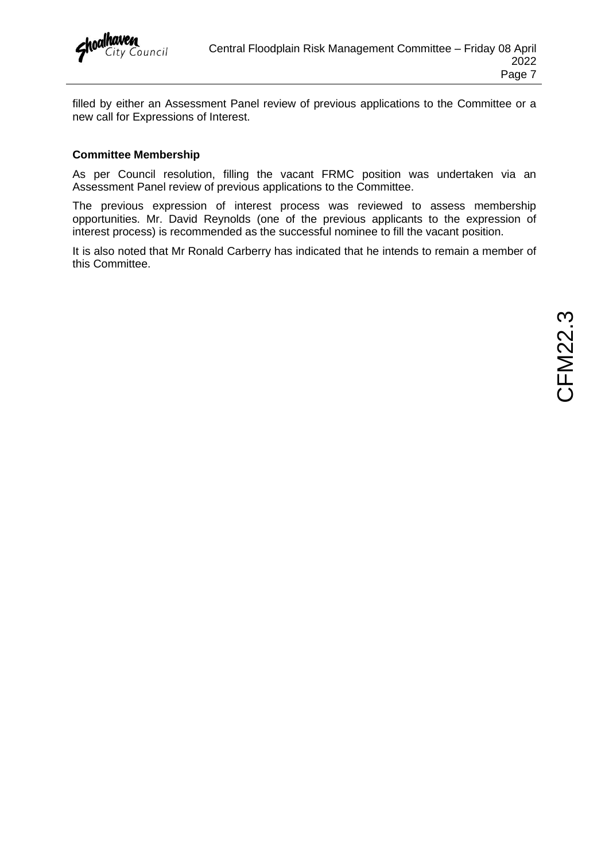

filled by either an Assessment Panel review of previous applications to the Committee or a new call for Expressions of Interest.

## **Committee Membership**

As per Council resolution, filling the vacant FRMC position was undertaken via an Assessment Panel review of previous applications to the Committee.

The previous expression of interest process was reviewed to assess membership opportunities. Mr. David Reynolds (one of the previous applicants to the expression of interest process) is recommended as the successful nominee to fill the vacant position.

It is also noted that Mr Ronald Carberry has indicated that he intends to remain a member of this Committee.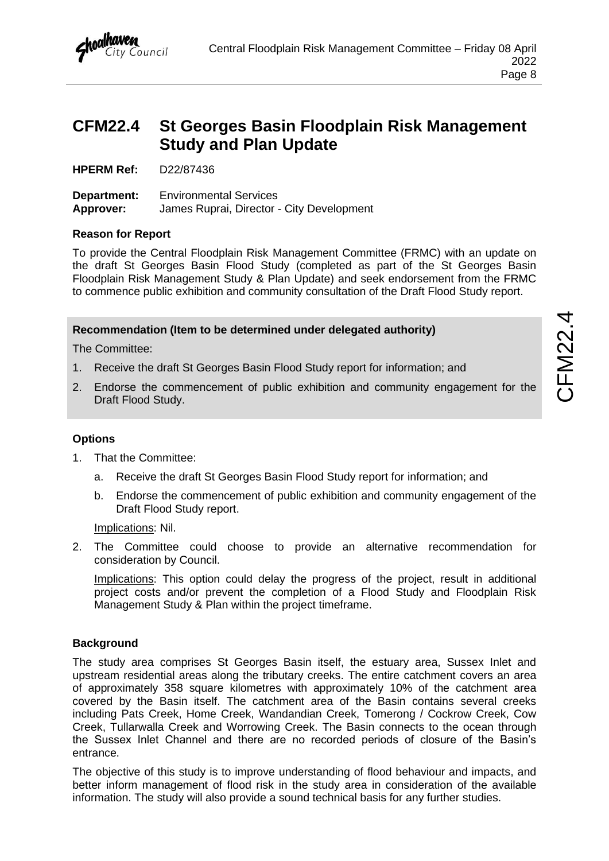

## <span id="page-9-0"></span>**CFM22.4 St Georges Basin Floodplain Risk Management Study and Plan Update**

**HPERM Ref:** D22/87436

**Department:** Environmental Services **Approver:** James Ruprai, Director - City Development

## **Reason for Report**

To provide the Central Floodplain Risk Management Committee (FRMC) with an update on the draft St Georges Basin Flood Study (completed as part of the St Georges Basin Floodplain Risk Management Study & Plan Update) and seek endorsement from the FRMC to commence public exhibition and community consultation of the Draft Flood Study report.

## **Recommendation (Item to be determined under delegated authority)**

The Committee:

- 1. Receive the draft St Georges Basin Flood Study report for information; and
- 2. Endorse the commencement of public exhibition and community engagement for the Draft Flood Study.

## **Options**

- 1. That the Committee:
	- a. Receive the draft St Georges Basin Flood Study report for information; and
	- b. Endorse the commencement of public exhibition and community engagement of the Draft Flood Study report.

Implications: Nil.

2. The Committee could choose to provide an alternative recommendation for consideration by Council.

Implications: This option could delay the progress of the project, result in additional project costs and/or prevent the completion of a Flood Study and Floodplain Risk Management Study & Plan within the project timeframe.

#### **Background**

The study area comprises St Georges Basin itself, the estuary area, Sussex Inlet and upstream residential areas along the tributary creeks. The entire catchment covers an area of approximately 358 square kilometres with approximately 10% of the catchment area covered by the Basin itself. The catchment area of the Basin contains several creeks including Pats Creek, Home Creek, Wandandian Creek, Tomerong / Cockrow Creek, Cow Creek, Tullarwalla Creek and Worrowing Creek. The Basin connects to the ocean through the Sussex Inlet Channel and there are no recorded periods of closure of the Basin's entrance.

The objective of this study is to improve understanding of flood behaviour and impacts, and better inform management of flood risk in the study area in consideration of the available information. The study will also provide a sound technical basis for any further studies.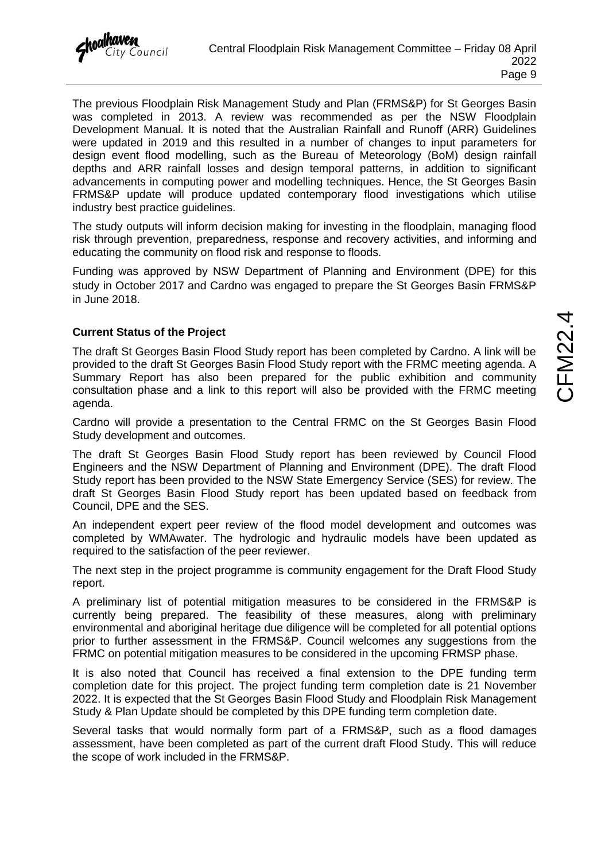The previous Floodplain Risk Management Study and Plan (FRMS&P) for St Georges Basin was completed in 2013. A review was recommended as per the NSW Floodplain Development Manual. It is noted that the Australian Rainfall and Runoff (ARR) Guidelines were updated in 2019 and this resulted in a number of changes to input parameters for design event flood modelling, such as the Bureau of Meteorology (BoM) design rainfall depths and ARR rainfall losses and design temporal patterns, in addition to significant advancements in computing power and modelling techniques. Hence, the St Georges Basin FRMS&P update will produce updated contemporary flood investigations which utilise industry best practice guidelines.

The study outputs will inform decision making for investing in the floodplain, managing flood risk through prevention, preparedness, response and recovery activities, and informing and educating the community on flood risk and response to floods.

Funding was approved by NSW Department of Planning and Environment (DPE) for this study in October 2017 and Cardno was engaged to prepare the St Georges Basin FRMS&P in June 2018.

## **Current Status of the Project**

The draft St Georges Basin Flood Study report has been completed by Cardno. A link will be provided to the draft St Georges Basin Flood Study report with the FRMC meeting agenda. A Summary Report has also been prepared for the public exhibition and community consultation phase and a link to this report will also be provided with the FRMC meeting agenda.

Cardno will provide a presentation to the Central FRMC on the St Georges Basin Flood Study development and outcomes.

The draft St Georges Basin Flood Study report has been reviewed by Council Flood Engineers and the NSW Department of Planning and Environment (DPE). The draft Flood Study report has been provided to the NSW State Emergency Service (SES) for review. The draft St Georges Basin Flood Study report has been updated based on feedback from Council, DPE and the SES.

An independent expert peer review of the flood model development and outcomes was completed by WMAwater. The hydrologic and hydraulic models have been updated as required to the satisfaction of the peer reviewer.

The next step in the project programme is community engagement for the Draft Flood Study report.

A preliminary list of potential mitigation measures to be considered in the FRMS&P is currently being prepared. The feasibility of these measures, along with preliminary environmental and aboriginal heritage due diligence will be completed for all potential options prior to further assessment in the FRMS&P. Council welcomes any suggestions from the FRMC on potential mitigation measures to be considered in the upcoming FRMSP phase.

It is also noted that Council has received a final extension to the DPE funding term completion date for this project. The project funding term completion date is 21 November 2022. It is expected that the St Georges Basin Flood Study and Floodplain Risk Management Study & Plan Update should be completed by this DPE funding term completion date.

Several tasks that would normally form part of a FRMS&P, such as a flood damages assessment, have been completed as part of the current draft Flood Study. This will reduce the scope of work included in the FRMS&P.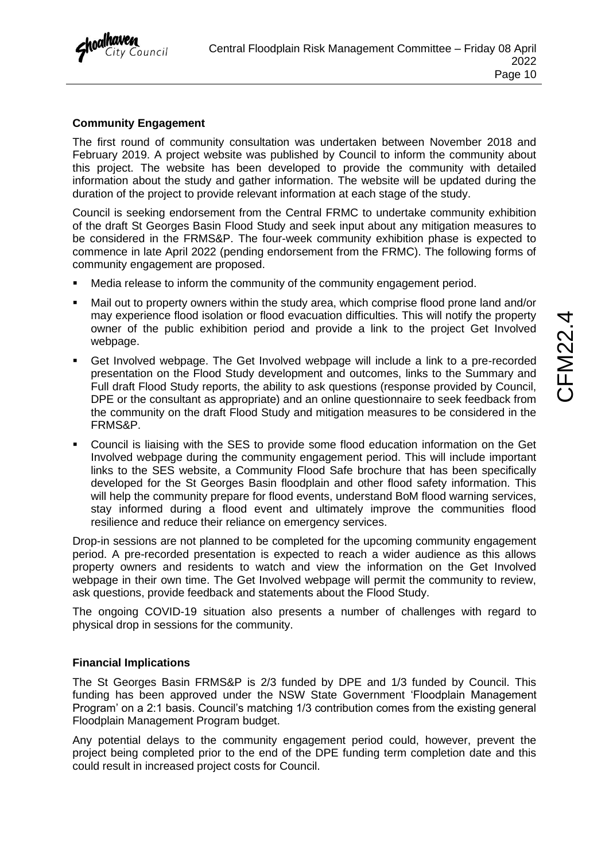

## **Community Engagement**

The first round of community consultation was undertaken between November 2018 and February 2019. A project website was published by Council to inform the community about this project. The website has been developed to provide the community with detailed information about the study and gather information. The website will be updated during the duration of the project to provide relevant information at each stage of the study.

Council is seeking endorsement from the Central FRMC to undertake community exhibition of the draft St Georges Basin Flood Study and seek input about any mitigation measures to be considered in the FRMS&P. The four-week community exhibition phase is expected to commence in late April 2022 (pending endorsement from the FRMC). The following forms of community engagement are proposed.

- Media release to inform the community of the community engagement period.
- Mail out to property owners within the study area, which comprise flood prone land and/or may experience flood isolation or flood evacuation difficulties. This will notify the property owner of the public exhibition period and provide a link to the project Get Involved webpage.
- Get Involved webpage. The Get Involved webpage will include a link to a pre-recorded presentation on the Flood Study development and outcomes, links to the Summary and Full draft Flood Study reports, the ability to ask questions (response provided by Council, DPE or the consultant as appropriate) and an online questionnaire to seek feedback from the community on the draft Flood Study and mitigation measures to be considered in the FRMS&P.
- Council is liaising with the SES to provide some flood education information on the Get Involved webpage during the community engagement period. This will include important links to the SES website, a Community Flood Safe brochure that has been specifically developed for the St Georges Basin floodplain and other flood safety information. This will help the community prepare for flood events, understand BoM flood warning services, stay informed during a flood event and ultimately improve the communities flood resilience and reduce their reliance on emergency services.

Drop-in sessions are not planned to be completed for the upcoming community engagement period. A pre-recorded presentation is expected to reach a wider audience as this allows property owners and residents to watch and view the information on the Get Involved webpage in their own time. The Get Involved webpage will permit the community to review, ask questions, provide feedback and statements about the Flood Study.

The ongoing COVID-19 situation also presents a number of challenges with regard to physical drop in sessions for the community.

## **Financial Implications**

The St Georges Basin FRMS&P is 2/3 funded by DPE and 1/3 funded by Council. This funding has been approved under the NSW State Government 'Floodplain Management Program' on a 2:1 basis. Council's matching 1/3 contribution comes from the existing general Floodplain Management Program budget.

Any potential delays to the community engagement period could, however, prevent the project being completed prior to the end of the DPE funding term completion date and this could result in increased project costs for Council.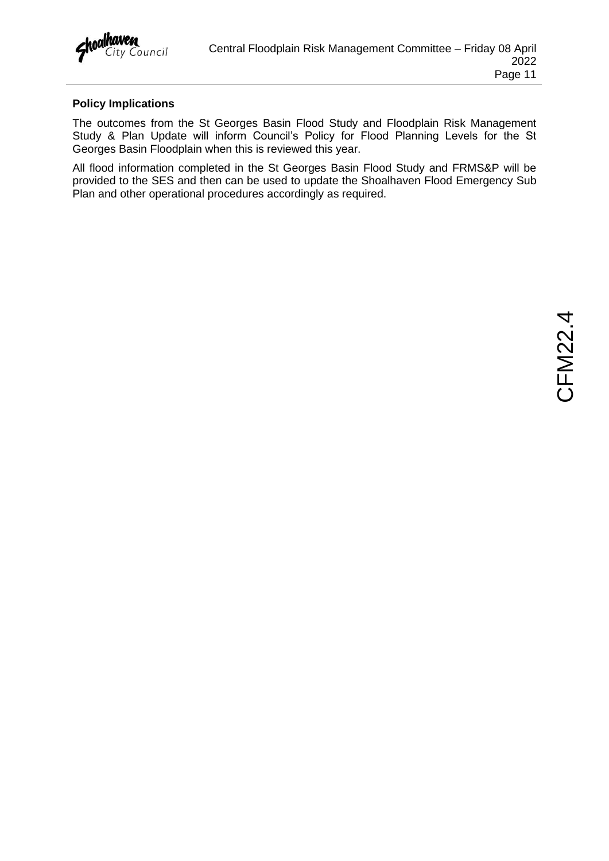## **Policy Implications**

The outcomes from the St Georges Basin Flood Study and Floodplain Risk Management Study & Plan Update will inform Council's Policy for Flood Planning Levels for the St Georges Basin Floodplain when this is reviewed this year.

All flood information completed in the St Georges Basin Flood Study and FRMS&P will be provided to the SES and then can be used to update the Shoalhaven Flood Emergency Sub Plan and other operational procedures accordingly as required.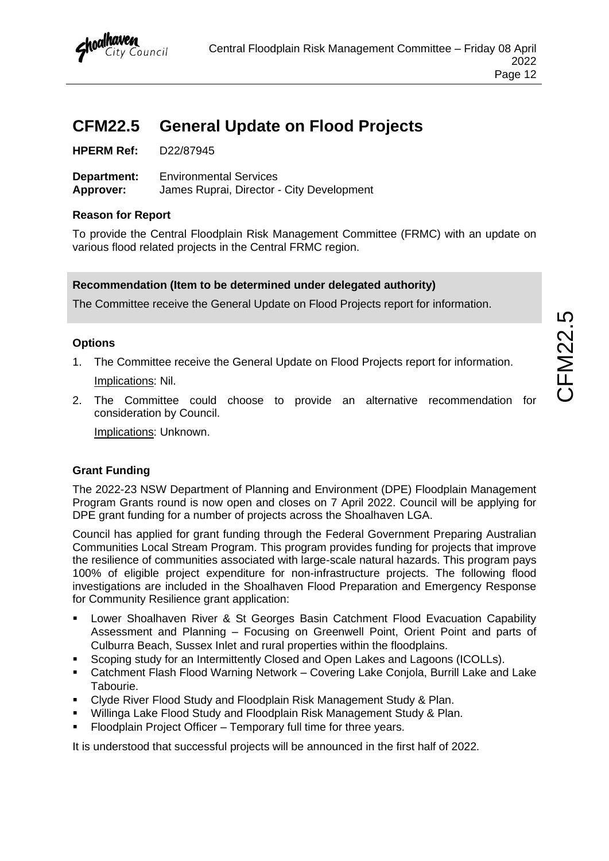## <span id="page-13-0"></span>**CFM22.5 General Update on Flood Projects**

**Department:** Environmental Services **Approver:** James Ruprai, Director - City Development

## **Reason for Report**

To provide the Central Floodplain Risk Management Committee (FRMC) with an update on various flood related projects in the Central FRMC region.

## **Recommendation (Item to be determined under delegated authority)**

The Committee receive the General Update on Flood Projects report for information.

## **Options**

- 1. The Committee receive the General Update on Flood Projects report for information. Implications: Nil.
- 2. The Committee could choose to provide an alternative recommendation for consideration by Council.

Implications: Unknown.

## **Grant Funding**

The 2022-23 NSW Department of Planning and Environment (DPE) Floodplain Management Program Grants round is now open and closes on 7 April 2022. Council will be applying for DPE grant funding for a number of projects across the Shoalhaven LGA.

Council has applied for grant funding through the Federal Government Preparing Australian Communities Local Stream Program. This program provides funding for projects that improve the resilience of communities associated with large-scale natural hazards. This program pays 100% of eligible project expenditure for non-infrastructure projects. The following flood investigations are included in the Shoalhaven Flood Preparation and Emergency Response for Community Resilience grant application:

- Lower Shoalhaven River & St Georges Basin Catchment Flood Evacuation Capability Assessment and Planning – Focusing on Greenwell Point, Orient Point and parts of Culburra Beach, Sussex Inlet and rural properties within the floodplains.
- Scoping study for an Intermittently Closed and Open Lakes and Lagoons (ICOLLs).
- Catchment Flash Flood Warning Network Covering Lake Conjola, Burrill Lake and Lake Tabourie.
- Clyde River Flood Study and Floodplain Risk Management Study & Plan.
- Willinga Lake Flood Study and Floodplain Risk Management Study & Plan.
- Floodplain Project Officer Temporary full time for three years.

It is understood that successful projects will be announced in the first half of 2022.